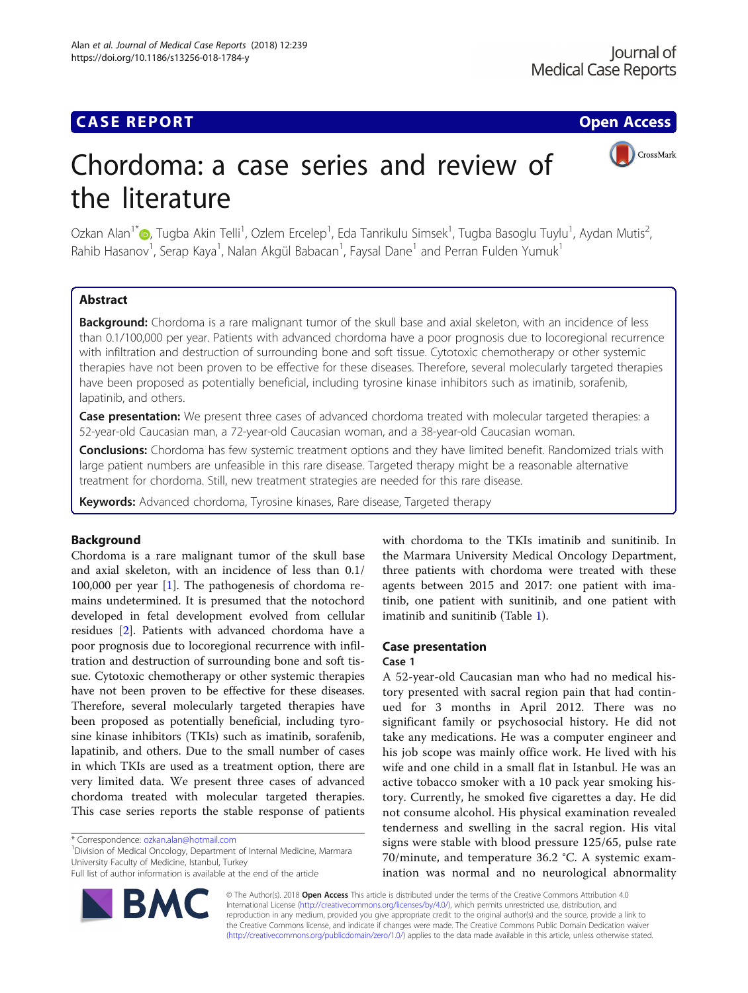## **CASE REPORT CASE ACCESS**



# Chordoma: a case series and review of the literature

Ozkan Alan<sup>1\*</sup>�[,](http://orcid.org/0000-0002-6635-2012) Tugba Akin Telli<sup>1</sup>, Ozlem Ercelep<sup>1</sup>, Eda Tanrikulu Simsek<sup>1</sup>, Tugba Basoglu Tuylu<sup>1</sup>, Aydan Mutis<sup>2</sup> .<br>, Rahib Hasanov<sup>1</sup>, Serap Kaya<sup>1</sup>, Nalan Akgül Babacan<sup>1</sup>, Faysal Dane<sup>1</sup> and Perran Fulden Yumuk<sup>1</sup>

## Abstract

Background: Chordoma is a rare malignant tumor of the skull base and axial skeleton, with an incidence of less than 0.1/100,000 per year. Patients with advanced chordoma have a poor prognosis due to locoregional recurrence with infiltration and destruction of surrounding bone and soft tissue. Cytotoxic chemotherapy or other systemic therapies have not been proven to be effective for these diseases. Therefore, several molecularly targeted therapies have been proposed as potentially beneficial, including tyrosine kinase inhibitors such as imatinib, sorafenib, lapatinib, and others.

Case presentation: We present three cases of advanced chordoma treated with molecular targeted therapies: a 52-year-old Caucasian man, a 72-year-old Caucasian woman, and a 38-year-old Caucasian woman.

Conclusions: Chordoma has few systemic treatment options and they have limited benefit. Randomized trials with large patient numbers are unfeasible in this rare disease. Targeted therapy might be a reasonable alternative treatment for chordoma. Still, new treatment strategies are needed for this rare disease.

Keywords: Advanced chordoma, Tyrosine kinases, Rare disease, Targeted therapy

## Background

Chordoma is a rare malignant tumor of the skull base and axial skeleton, with an incidence of less than 0.1/ 100,000 per year [[1](#page-4-0)]. The pathogenesis of chordoma remains undetermined. It is presumed that the notochord developed in fetal development evolved from cellular residues [[2\]](#page-4-0). Patients with advanced chordoma have a poor prognosis due to locoregional recurrence with infiltration and destruction of surrounding bone and soft tissue. Cytotoxic chemotherapy or other systemic therapies have not been proven to be effective for these diseases. Therefore, several molecularly targeted therapies have been proposed as potentially beneficial, including tyrosine kinase inhibitors (TKIs) such as imatinib, sorafenib, lapatinib, and others. Due to the small number of cases in which TKIs are used as a treatment option, there are very limited data. We present three cases of advanced chordoma treated with molecular targeted therapies. This case series reports the stable response of patients

<sup>1</sup> Division of Medical Oncology, Department of Internal Medicine, Marmara University Faculty of Medicine, Istanbul, Turkey

Full list of author information is available at the end of the article



with chordoma to the TKIs imatinib and sunitinib. In the Marmara University Medical Oncology Department, three patients with chordoma were treated with these agents between 2015 and 2017: one patient with imatinib, one patient with sunitinib, and one patient with imatinib and sunitinib (Table [1\)](#page-1-0).

### Case presentation

#### Case 1

A 52-year-old Caucasian man who had no medical history presented with sacral region pain that had continued for 3 months in April 2012. There was no significant family or psychosocial history. He did not take any medications. He was a computer engineer and his job scope was mainly office work. He lived with his wife and one child in a small flat in Istanbul. He was an active tobacco smoker with a 10 pack year smoking history. Currently, he smoked five cigarettes a day. He did not consume alcohol. His physical examination revealed tenderness and swelling in the sacral region. His vital signs were stable with blood pressure 125/65, pulse rate 70/minute, and temperature 36.2 °C. A systemic examination was normal and no neurological abnormality

© The Author(s). 2018 Open Access This article is distributed under the terms of the Creative Commons Attribution 4.0 International License [\(http://creativecommons.org/licenses/by/4.0/](http://creativecommons.org/licenses/by/4.0/)), which permits unrestricted use, distribution, and reproduction in any medium, provided you give appropriate credit to the original author(s) and the source, provide a link to the Creative Commons license, and indicate if changes were made. The Creative Commons Public Domain Dedication waiver [\(http://creativecommons.org/publicdomain/zero/1.0/](http://creativecommons.org/publicdomain/zero/1.0/)) applies to the data made available in this article, unless otherwise stated.

<sup>\*</sup> Correspondence: [ozkan.alan@hotmail.com](mailto:ozkan.alan@hotmail.com) <sup>1</sup>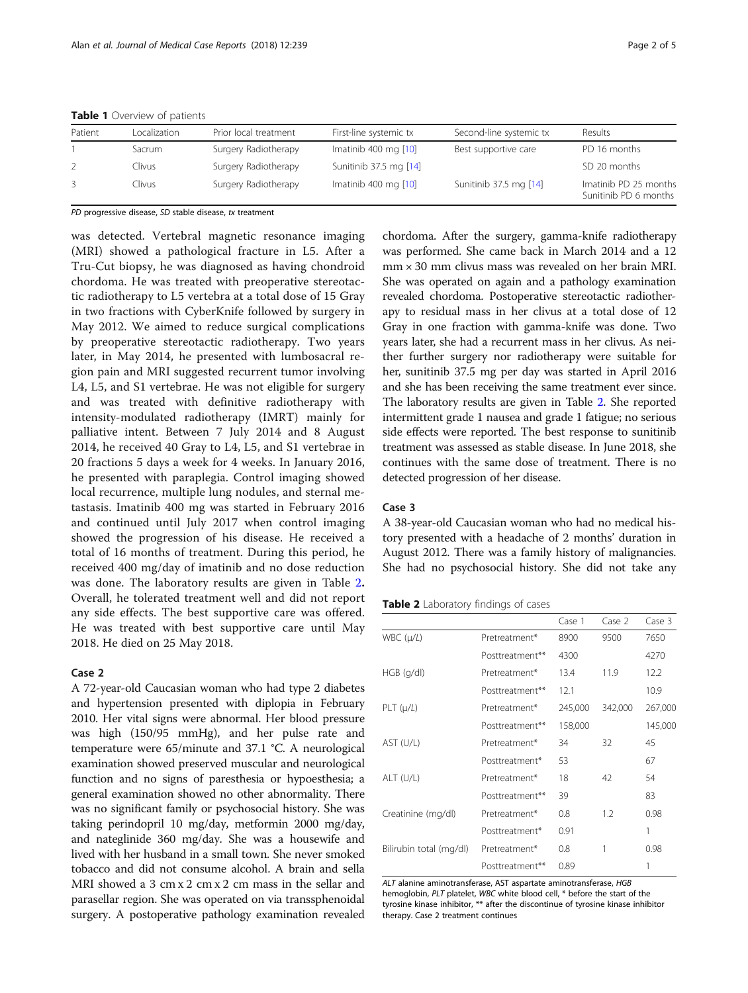| Patient | Localization | Prior local treatment | First-line systemic tx | Second-line systemic tx | Results                                        |
|---------|--------------|-----------------------|------------------------|-------------------------|------------------------------------------------|
|         | Sacrum       | Surgery Radiotherapy  | Imatinib 400 mg $[10]$ | Best supportive care    | PD 16 months                                   |
|         | Clivus       | Surgery Radiotherapy  | Sunitinib 37.5 mg [14] |                         | SD 20 months                                   |
|         | Clivus       | Surgery Radiotherapy  | Imatinib 400 mg [10]   | Sunitinib 37.5 mg [14]  | Imatinib PD 25 months<br>Sunitinib PD 6 months |

<span id="page-1-0"></span>Table 1 Overview of patients

PD progressive disease, SD stable disease, tx treatment

was detected. Vertebral magnetic resonance imaging (MRI) showed a pathological fracture in L5. After a Tru-Cut biopsy, he was diagnosed as having chondroid chordoma. He was treated with preoperative stereotactic radiotherapy to L5 vertebra at a total dose of 15 Gray in two fractions with CyberKnife followed by surgery in May 2012. We aimed to reduce surgical complications by preoperative stereotactic radiotherapy. Two years later, in May 2014, he presented with lumbosacral region pain and MRI suggested recurrent tumor involving L4, L5, and S1 vertebrae. He was not eligible for surgery and was treated with definitive radiotherapy with intensity-modulated radiotherapy (IMRT) mainly for palliative intent. Between 7 July 2014 and 8 August 2014, he received 40 Gray to L4, L5, and S1 vertebrae in 20 fractions 5 days a week for 4 weeks. In January 2016, he presented with paraplegia. Control imaging showed local recurrence, multiple lung nodules, and sternal metastasis. Imatinib 400 mg was started in February 2016 and continued until July 2017 when control imaging showed the progression of his disease. He received a total of 16 months of treatment. During this period, he received 400 mg/day of imatinib and no dose reduction was done. The laboratory results are given in Table 2. Overall, he tolerated treatment well and did not report any side effects. The best supportive care was offered. He was treated with best supportive care until May 2018. He died on 25 May 2018.

#### Case 2

A 72-year-old Caucasian woman who had type 2 diabetes and hypertension presented with diplopia in February 2010. Her vital signs were abnormal. Her blood pressure was high (150/95 mmHg), and her pulse rate and temperature were 65/minute and 37.1 °C. A neurological examination showed preserved muscular and neurological function and no signs of paresthesia or hypoesthesia; a general examination showed no other abnormality. There was no significant family or psychosocial history. She was taking perindopril 10 mg/day, metformin 2000 mg/day, and nateglinide 360 mg/day. She was a housewife and lived with her husband in a small town. She never smoked tobacco and did not consume alcohol. A brain and sella MRI showed a 3 cm x 2 cm x 2 cm mass in the sellar and parasellar region. She was operated on via transsphenoidal surgery. A postoperative pathology examination revealed

chordoma. After the surgery, gamma-knife radiotherapy was performed. She came back in March 2014 and a 12 mm × 30 mm clivus mass was revealed on her brain MRI. She was operated on again and a pathology examination revealed chordoma. Postoperative stereotactic radiotherapy to residual mass in her clivus at a total dose of 12 Gray in one fraction with gamma-knife was done. Two years later, she had a recurrent mass in her clivus. As neither further surgery nor radiotherapy were suitable for her, sunitinib 37.5 mg per day was started in April 2016 and she has been receiving the same treatment ever since. The laboratory results are given in Table 2. She reported intermittent grade 1 nausea and grade 1 fatigue; no serious side effects were reported. The best response to sunitinib treatment was assessed as stable disease. In June 2018, she continues with the same dose of treatment. There is no detected progression of her disease.

#### Case 3

A 38-year-old Caucasian woman who had no medical history presented with a headache of 2 months' duration in August 2012. There was a family history of malignancies. She had no psychosocial history. She did not take any

Table 2 Laboratory findings of cases

|                         |                 | Case 1  | Case 2  | Case 3  |
|-------------------------|-----------------|---------|---------|---------|
| $WBC$ ( $\mu/L$ )       | Pretreatment*   | 8900    | 9500    | 7650    |
|                         | Posttreatment** | 4300    |         | 4270    |
| $HGB$ (g/dl)            | Pretreatment*   | 13.4    | 11.9    | 12.2    |
|                         | Posttreatment** | 12.1    |         | 10.9    |
| $PLT(\mu/L)$            | Pretreatment*   | 245,000 | 342,000 | 267,000 |
|                         | Posttreatment** | 158,000 |         | 145,000 |
| AST (U/L)               | Pretreatment*   | 34      | 32      | 45      |
|                         | Posttreatment*  | 53      |         | 67      |
| ALT (U/L)               | Pretreatment*   | 18      | 42      | 54      |
|                         | Posttreatment** | 39      |         | 83      |
| Creatinine (mg/dl)      | Pretreatment*   | 0.8     | 1.2     | 0.98    |
|                         | Posttreatment*  | 0.91    |         | 1       |
| Bilirubin total (mg/dl) | Pretreatment*   | 0.8     | 1       | 0.98    |
|                         | Posttreatment** | 0.89    |         |         |

ALT alanine aminotransferase, AST aspartate aminotransferase, HGB hemoglobin, PLT platelet, WBC white blood cell, \* before the start of the tyrosine kinase inhibitor, \*\* after the discontinue of tyrosine kinase inhibitor therapy. Case 2 treatment continues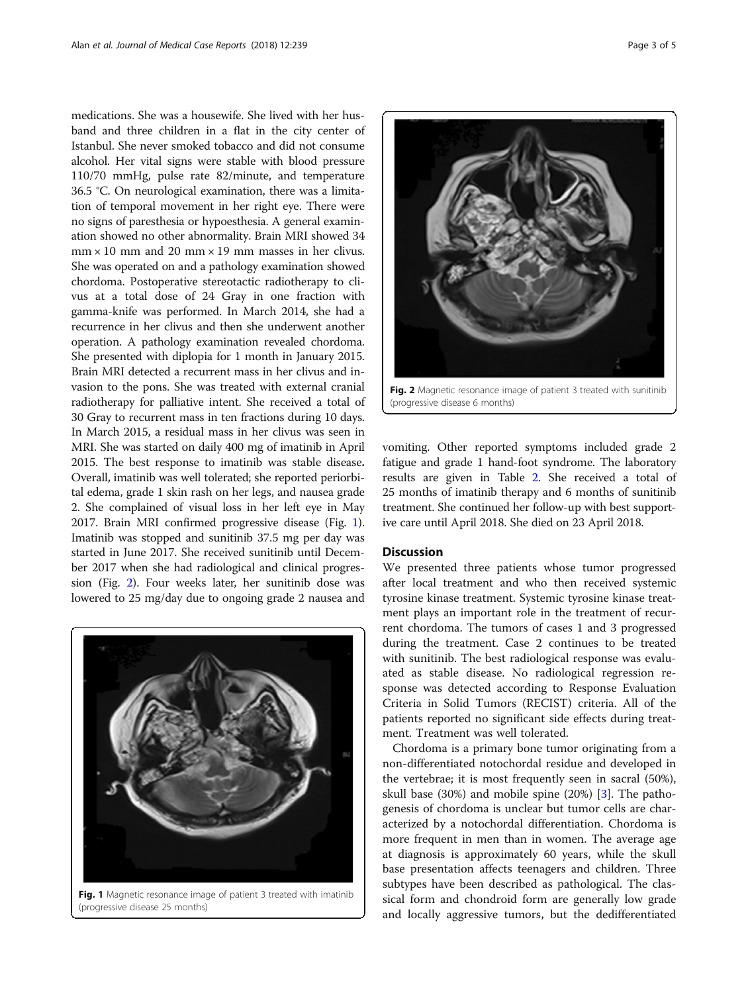medications. She was a housewife. She lived with her husband and three children in a flat in the city center of Istanbul. She never smoked tobacco and did not consume alcohol. Her vital signs were stable with blood pressure 110/70 mmHg, pulse rate 82/minute, and temperature 36.5 °C. On neurological examination, there was a limitation of temporal movement in her right eye. There were no signs of paresthesia or hypoesthesia. A general examination showed no other abnormality. Brain MRI showed 34  $mm \times 10$  mm and 20 mm  $\times 19$  mm masses in her clivus. She was operated on and a pathology examination showed chordoma. Postoperative stereotactic radiotherapy to clivus at a total dose of 24 Gray in one fraction with gamma-knife was performed. In March 2014, she had a recurrence in her clivus and then she underwent another operation. A pathology examination revealed chordoma. She presented with diplopia for 1 month in January 2015. Brain MRI detected a recurrent mass in her clivus and invasion to the pons. She was treated with external cranial radiotherapy for palliative intent. She received a total of 30 Gray to recurrent mass in ten fractions during 10 days. In March 2015, a residual mass in her clivus was seen in MRI. She was started on daily 400 mg of imatinib in April 2015. The best response to imatinib was stable disease. Overall, imatinib was well tolerated; she reported periorbital edema, grade 1 skin rash on her legs, and nausea grade 2. She complained of visual loss in her left eye in May 2017. Brain MRI confirmed progressive disease (Fig. 1). Imatinib was stopped and sunitinib 37.5 mg per day was started in June 2017. She received sunitinib until December 2017 when she had radiological and clinical progression (Fig. 2). Four weeks later, her sunitinib dose was lowered to 25 mg/day due to ongoing grade 2 nausea and



Fig. 1 Magnetic resonance image of patient 3 treated with imatinib (progressive disease 25 months)



Fig. 2 Magnetic resonance image of patient 3 treated with sunitinib (progressive disease 6 months)

vomiting. Other reported symptoms included grade 2 fatigue and grade 1 hand-foot syndrome. The laboratory results are given in Table [2.](#page-1-0) She received a total of 25 months of imatinib therapy and 6 months of sunitinib treatment. She continued her follow-up with best supportive care until April 2018. She died on 23 April 2018.

#### **Discussion**

We presented three patients whose tumor progressed after local treatment and who then received systemic tyrosine kinase treatment. Systemic tyrosine kinase treatment plays an important role in the treatment of recurrent chordoma. The tumors of cases 1 and 3 progressed during the treatment. Case 2 continues to be treated with sunitinib. The best radiological response was evaluated as stable disease. No radiological regression response was detected according to Response Evaluation Criteria in Solid Tumors (RECIST) criteria. All of the patients reported no significant side effects during treatment. Treatment was well tolerated.

Chordoma is a primary bone tumor originating from a non-differentiated notochordal residue and developed in the vertebrae; it is most frequently seen in sacral (50%), skull base (30%) and mobile spine (20%) [[3\]](#page-4-0). The pathogenesis of chordoma is unclear but tumor cells are characterized by a notochordal differentiation. Chordoma is more frequent in men than in women. The average age at diagnosis is approximately 60 years, while the skull base presentation affects teenagers and children. Three subtypes have been described as pathological. The classical form and chondroid form are generally low grade and locally aggressive tumors, but the dedifferentiated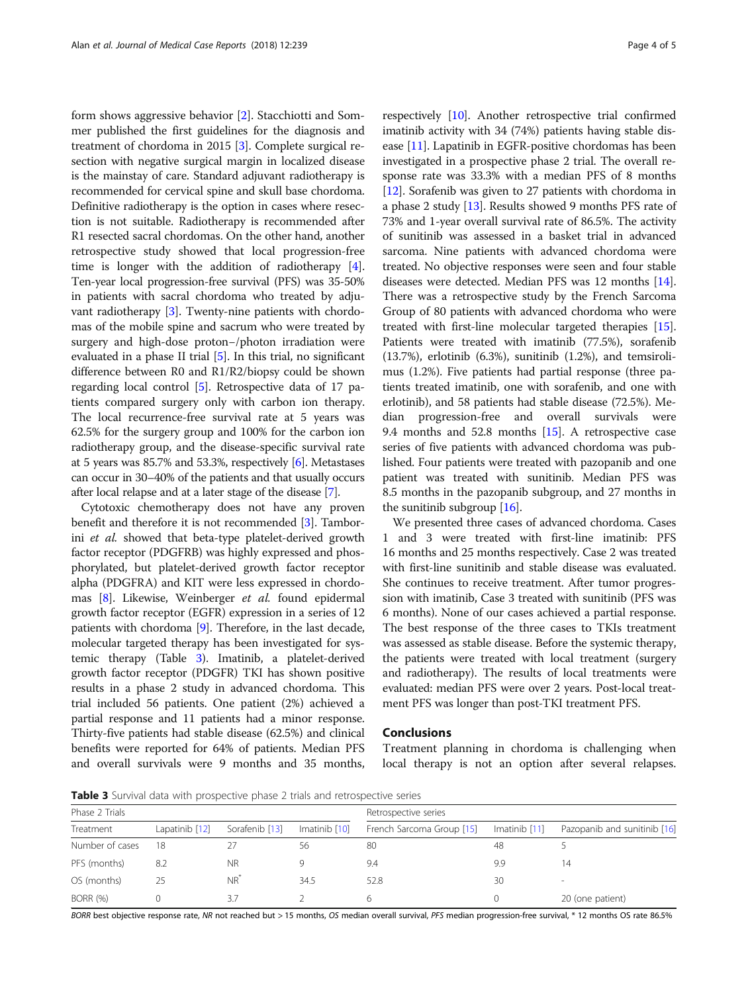form shows aggressive behavior [[2\]](#page-4-0). Stacchiotti and Sommer published the first guidelines for the diagnosis and treatment of chordoma in 2015 [\[3\]](#page-4-0). Complete surgical resection with negative surgical margin in localized disease is the mainstay of care. Standard adjuvant radiotherapy is recommended for cervical spine and skull base chordoma. Definitive radiotherapy is the option in cases where resection is not suitable. Radiotherapy is recommended after R1 resected sacral chordomas. On the other hand, another retrospective study showed that local progression-free time is longer with the addition of radiotherapy [[4](#page-4-0)]. Ten-year local progression-free survival (PFS) was 35-50% in patients with sacral chordoma who treated by adjuvant radiotherapy [\[3](#page-4-0)]. Twenty-nine patients with chordomas of the mobile spine and sacrum who were treated by surgery and high-dose proton−/photon irradiation were evaluated in a phase II trial  $[5]$ . In this trial, no significant difference between R0 and R1/R2/biopsy could be shown regarding local control [\[5\]](#page-4-0). Retrospective data of 17 patients compared surgery only with carbon ion therapy. The local recurrence-free survival rate at 5 years was 62.5% for the surgery group and 100% for the carbon ion radiotherapy group, and the disease-specific survival rate at 5 years was 85.7% and 53.3%, respectively [\[6\]](#page-4-0). Metastases can occur in 30–40% of the patients and that usually occurs after local relapse and at a later stage of the disease [\[7](#page-4-0)].

Cytotoxic chemotherapy does not have any proven benefit and therefore it is not recommended [[3](#page-4-0)]. Tamborini et al. showed that beta-type platelet-derived growth factor receptor (PDGFRB) was highly expressed and phosphorylated, but platelet-derived growth factor receptor alpha (PDGFRA) and KIT were less expressed in chordomas [[8\]](#page-4-0). Likewise, Weinberger et al. found epidermal growth factor receptor (EGFR) expression in a series of 12 patients with chordoma [\[9\]](#page-4-0). Therefore, in the last decade, molecular targeted therapy has been investigated for systemic therapy (Table 3). Imatinib, a platelet-derived growth factor receptor (PDGFR) TKI has shown positive results in a phase 2 study in advanced chordoma. This trial included 56 patients. One patient (2%) achieved a partial response and 11 patients had a minor response. Thirty-five patients had stable disease (62.5%) and clinical benefits were reported for 64% of patients. Median PFS and overall survivals were 9 months and 35 months,

respectively [[10](#page-4-0)]. Another retrospective trial confirmed imatinib activity with 34 (74%) patients having stable disease [\[11\]](#page-4-0). Lapatinib in EGFR-positive chordomas has been investigated in a prospective phase 2 trial. The overall response rate was 33.3% with a median PFS of 8 months [[12](#page-4-0)]. Sorafenib was given to 27 patients with chordoma in a phase 2 study [\[13\]](#page-4-0). Results showed 9 months PFS rate of 73% and 1-year overall survival rate of 86.5%. The activity of sunitinib was assessed in a basket trial in advanced sarcoma. Nine patients with advanced chordoma were treated. No objective responses were seen and four stable diseases were detected. Median PFS was 12 months [[14](#page-4-0)]. There was a retrospective study by the French Sarcoma Group of 80 patients with advanced chordoma who were treated with first-line molecular targeted therapies [[15](#page-4-0)]. Patients were treated with imatinib (77.5%), sorafenib (13.7%), erlotinib (6.3%), sunitinib (1.2%), and temsirolimus (1.2%). Five patients had partial response (three patients treated imatinib, one with sorafenib, and one with erlotinib), and 58 patients had stable disease (72.5%). Median progression-free and overall survivals were 9.4 months and 52.8 months [[15](#page-4-0)]. A retrospective case series of five patients with advanced chordoma was published. Four patients were treated with pazopanib and one patient was treated with sunitinib. Median PFS was 8.5 months in the pazopanib subgroup, and 27 months in the sunitinib subgroup [\[16\]](#page-4-0).

We presented three cases of advanced chordoma. Cases 1 and 3 were treated with first-line imatinib: PFS 16 months and 25 months respectively. Case 2 was treated with first-line sunitinib and stable disease was evaluated. She continues to receive treatment. After tumor progression with imatinib, Case 3 treated with sunitinib (PFS was 6 months). None of our cases achieved a partial response. The best response of the three cases to TKIs treatment was assessed as stable disease. Before the systemic therapy, the patients were treated with local treatment (surgery and radiotherapy). The results of local treatments were evaluated: median PFS were over 2 years. Post-local treatment PFS was longer than post-TKI treatment PFS.

#### Conclusions

Treatment planning in chordoma is challenging when local therapy is not an option after several relapses.

Table 3 Survival data with prospective phase 2 trials and retrospective series

| Phase 2 Trials  |                |                |               | Retrospective series      |                 |                              |  |
|-----------------|----------------|----------------|---------------|---------------------------|-----------------|------------------------------|--|
| Treatment       | Lapatinib [12] | Sorafenib [13] | Imatinib [10] | French Sarcoma Group [15] | Imatinib $[11]$ | Pazopanib and sunitinib [16] |  |
| Number of cases | 18             |                | 56            | 80                        | 48              |                              |  |
| PFS (months)    | 8.2            | <b>NR</b>      |               | 9.4                       | 9.9             | 14                           |  |
| OS (months)     | 25             | $NR^*$         | 34.5          | 52.8                      | 30              | -                            |  |
| <b>BORR (%)</b> |                | 3.7            |               |                           |                 | 20 (one patient)             |  |

BORR best objective response rate, NR not reached but > 15 months, OS median overall survival, PFS median progression-free survival, \* 12 months OS rate 86.5%